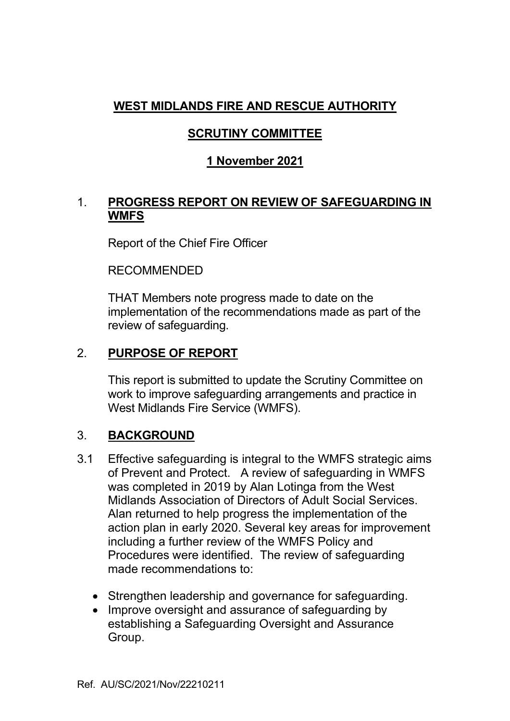# **WEST MIDLANDS FIRE AND RESCUE AUTHORITY**

# **SCRUTINY COMMITTEE**

# **1 November 2021**

### 1. **PROGRESS REPORT ON REVIEW OF SAFEGUARDING IN WMFS**

Report of the Chief Fire Officer

RECOMMENDED

 THAT Members note progress made to date on the implementation of the recommendations made as part of the review of safeguarding.

### 2. **PURPOSE OF REPORT**

 This report is submitted to update the Scrutiny Committee on work to improve safeguarding arrangements and practice in West Midlands Fire Service (WMFS).

### 3. **BACKGROUND**

- 3.1 Effective safeguarding is integral to the WMFS strategic aims of Prevent and Protect. A review of safeguarding in WMFS was completed in 2019 by Alan Lotinga from the West Midlands Association of Directors of Adult Social Services. Alan returned to help progress the implementation of the action plan in early 2020. Several key areas for improvement including a further review of the WMFS Policy and Procedures were identified. The review of safeguarding made recommendations to:
	- Strengthen leadership and governance for safeguarding.
	- Improve oversight and assurance of safeguarding by establishing a Safeguarding Oversight and Assurance Group.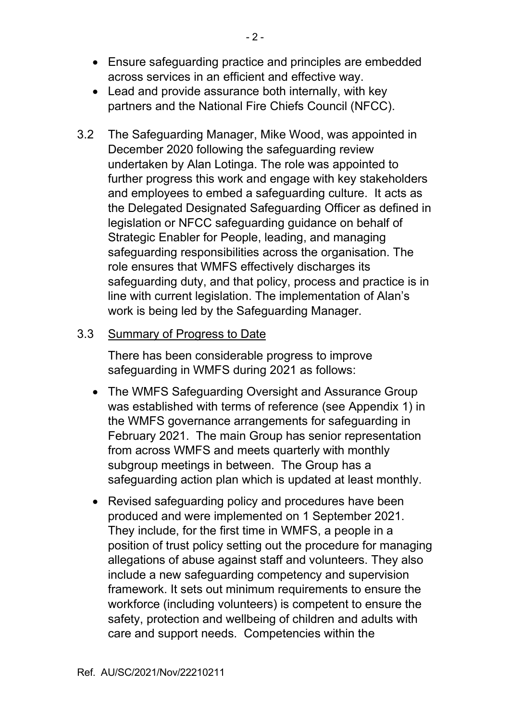- Ensure safeguarding practice and principles are embedded across services in an efficient and effective way.
- Lead and provide assurance both internally, with key partners and the National Fire Chiefs Council (NFCC).
- 3.2 The Safeguarding Manager, Mike Wood, was appointed in December 2020 following the safeguarding review undertaken by Alan Lotinga. The role was appointed to further progress this work and engage with key stakeholders and employees to embed a safeguarding culture. It acts as the Delegated Designated Safeguarding Officer as defined in legislation or NFCC safeguarding guidance on behalf of Strategic Enabler for People, leading, and managing safeguarding responsibilities across the organisation. The role ensures that WMFS effectively discharges its safeguarding duty, and that policy, process and practice is in line with current legislation. The implementation of Alan's work is being led by the Safeguarding Manager.

#### 3.3 Summary of Progress to Date

There has been considerable progress to improve safeguarding in WMFS during 2021 as follows:

- The WMFS Safeguarding Oversight and Assurance Group was established with terms of reference (see Appendix 1) in the WMFS governance arrangements for safeguarding in February 2021. The main Group has senior representation from across WMFS and meets quarterly with monthly subgroup meetings in between. The Group has a safeguarding action plan which is updated at least monthly.
- Revised safeguarding policy and procedures have been produced and were implemented on 1 September 2021. They include, for the first time in WMFS, a people in a position of trust policy setting out the procedure for managing allegations of abuse against staff and volunteers. They also include a new safeguarding competency and supervision framework. It sets out minimum requirements to ensure the workforce (including volunteers) is competent to ensure the safety, protection and wellbeing of children and adults with care and support needs. Competencies within the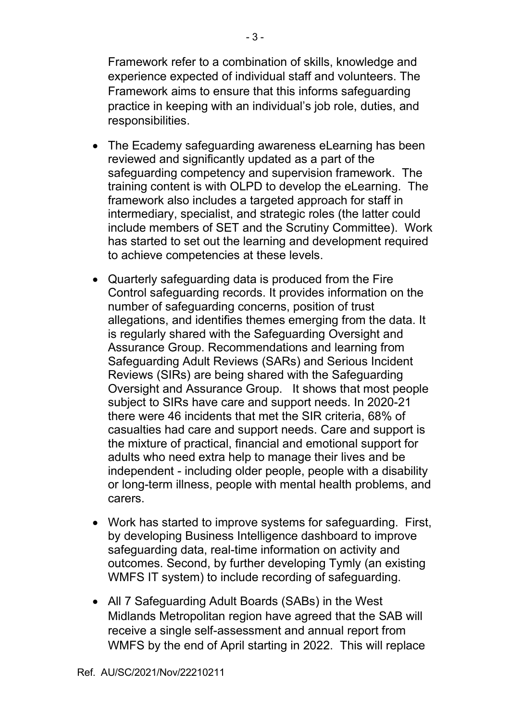Framework refer to a combination of skills, knowledge and experience expected of individual staff and volunteers. The Framework aims to ensure that this informs safeguarding practice in keeping with an individual's job role, duties, and responsibilities.

- The Ecademy safeguarding awareness eLearning has been reviewed and significantly updated as a part of the safeguarding competency and supervision framework. The training content is with OLPD to develop the eLearning. The framework also includes a targeted approach for staff in intermediary, specialist, and strategic roles (the latter could include members of SET and the Scrutiny Committee). Work has started to set out the learning and development required to achieve competencies at these levels.
- Quarterly safeguarding data is produced from the Fire Control safeguarding records. It provides information on the number of safeguarding concerns, position of trust allegations, and identifies themes emerging from the data. It is regularly shared with the Safeguarding Oversight and Assurance Group. Recommendations and learning from Safeguarding Adult Reviews (SARs) and Serious Incident Reviews (SIRs) are being shared with the Safeguarding Oversight and Assurance Group. It shows that most people subject to SIRs have care and support needs. In 2020-21 there were 46 incidents that met the SIR criteria, 68% of casualties had care and support needs. Care and support is the mixture of practical, financial and emotional support for adults who need extra help to manage their lives and be independent - including older people, people with a disability or long-term illness, people with mental health problems, and carers.
- Work has started to improve systems for safeguarding. First, by developing Business Intelligence dashboard to improve safeguarding data, real-time information on activity and outcomes. Second, by further developing Tymly (an existing WMFS IT system) to include recording of safeguarding.
- All 7 Safeguarding Adult Boards (SABs) in the West Midlands Metropolitan region have agreed that the SAB will receive a single self-assessment and annual report from WMFS by the end of April starting in 2022. This will replace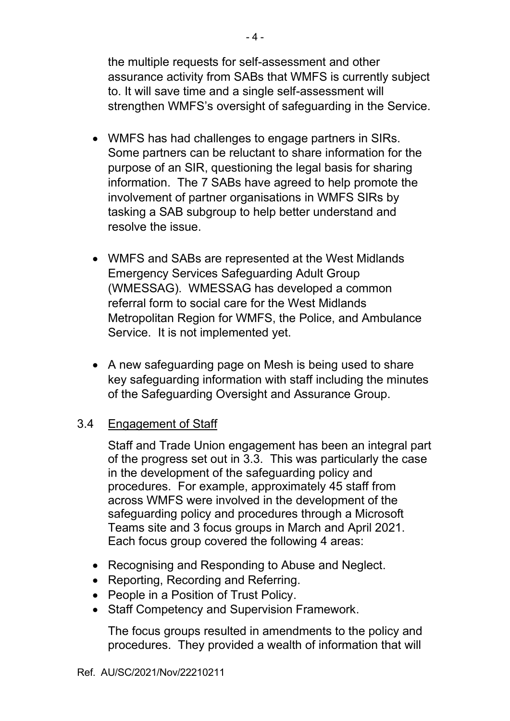the multiple requests for self-assessment and other assurance activity from SABs that WMFS is currently subject to. It will save time and a single self-assessment will strengthen WMFS's oversight of safeguarding in the Service.

- WMFS has had challenges to engage partners in SIRs. Some partners can be reluctant to share information for the purpose of an SIR, questioning the legal basis for sharing information. The 7 SABs have agreed to help promote the involvement of partner organisations in WMFS SIRs by tasking a SAB subgroup to help better understand and resolve the issue.
- WMFS and SABs are represented at the West Midlands Emergency Services Safeguarding Adult Group (WMESSAG). WMESSAG has developed a common referral form to social care for the West Midlands Metropolitan Region for WMFS, the Police, and Ambulance Service. It is not implemented yet.
- A new safeguarding page on Mesh is being used to share key safeguarding information with staff including the minutes of the Safeguarding Oversight and Assurance Group.

### 3.4 Engagement of Staff

Staff and Trade Union engagement has been an integral part of the progress set out in 3.3. This was particularly the case in the development of the safeguarding policy and procedures. For example, approximately 45 staff from across WMFS were involved in the development of the safeguarding policy and procedures through a Microsoft Teams site and 3 focus groups in March and April 2021. Each focus group covered the following 4 areas:

- Recognising and Responding to Abuse and Neglect.
- Reporting, Recording and Referring.
- People in a Position of Trust Policy.
- Staff Competency and Supervision Framework.

The focus groups resulted in amendments to the policy and procedures. They provided a wealth of information that will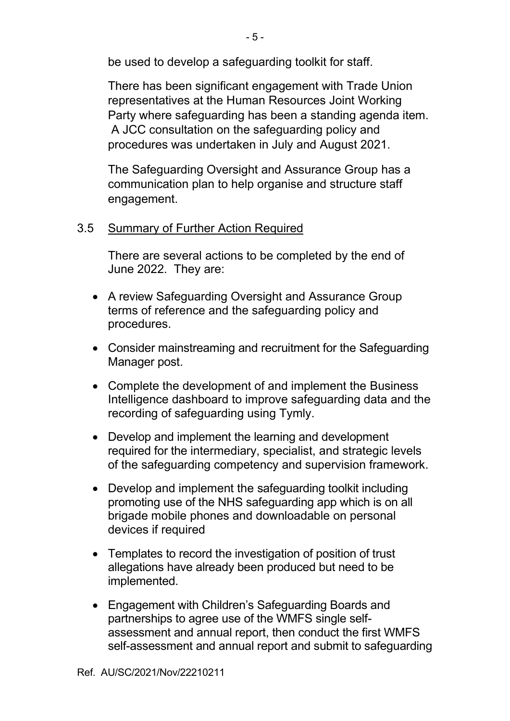be used to develop a safeguarding toolkit for staff.

There has been significant engagement with Trade Union representatives at the Human Resources Joint Working Party where safeguarding has been a standing agenda item. A JCC consultation on the safeguarding policy and procedures was undertaken in July and August 2021.

The Safeguarding Oversight and Assurance Group has a communication plan to help organise and structure staff engagement.

# 3.5 Summary of Further Action Required

 There are several actions to be completed by the end of June 2022. They are:

- A review Safeguarding Oversight and Assurance Group terms of reference and the safeguarding policy and procedures.
- Consider mainstreaming and recruitment for the Safeguarding Manager post.
- Complete the development of and implement the Business Intelligence dashboard to improve safeguarding data and the recording of safeguarding using Tymly.
- Develop and implement the learning and development required for the intermediary, specialist, and strategic levels of the safeguarding competency and supervision framework.
- Develop and implement the safeguarding toolkit including promoting use of the NHS safeguarding app which is on all brigade mobile phones and downloadable on personal devices if required
- Templates to record the investigation of position of trust allegations have already been produced but need to be implemented.
- Engagement with Children's Safeguarding Boards and partnerships to agree use of the WMFS single selfassessment and annual report, then conduct the first WMFS self-assessment and annual report and submit to safeguarding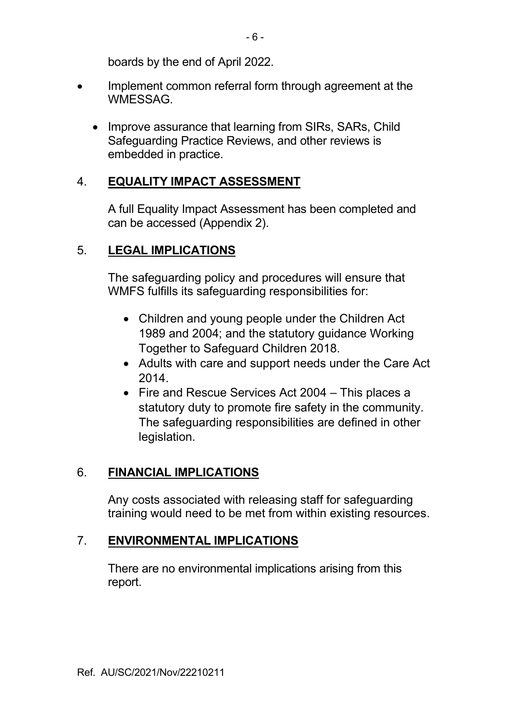boards by the end of April 2022.

- Implement common referral form through agreement at the **WMESSAG** 
	- Improve assurance that learning from SIRs, SARs, Child Safeguarding Practice Reviews, and other reviews is embedded in practice.

### 4. **EQUALITY IMPACT ASSESSMENT**

 A full Equality Impact Assessment has been completed and can be accessed (Appendix 2).

### 5. **LEGAL IMPLICATIONS**

The safeguarding policy and procedures will ensure that WMFS fulfills its safeguarding responsibilities for:

- Children and young people under the Children Act 1989 and 2004; and the statutory guidance Working Together to Safeguard Children 2018.
- Adults with care and support needs under the Care Act 2014.
- Fire and Rescue Services Act 2004 This places a statutory duty to promote fire safety in the community. The safeguarding responsibilities are defined in other legislation.

### 6. **FINANCIAL IMPLICATIONS**

Any costs associated with releasing staff for safeguarding training would need to be met from within existing resources.

### 7. **ENVIRONMENTAL IMPLICATIONS**

There are no environmental implications arising from this report.